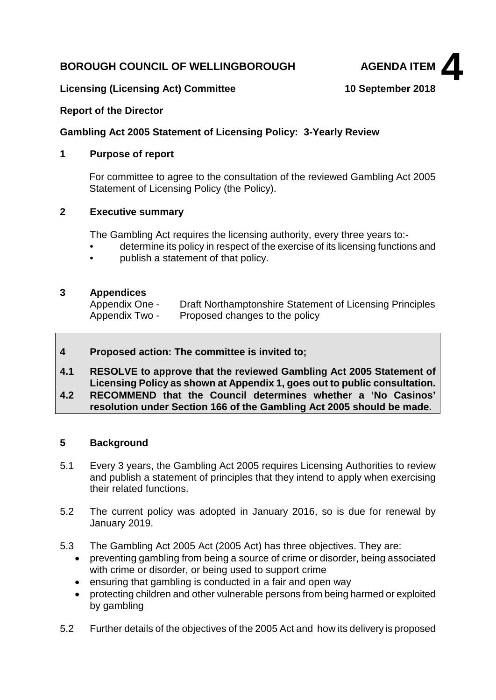## **BOROUGH COUNCIL OF WELLINGBOROUGH AGENDA ITEM**



### **Licensing (Licensing Act) Committee 10 September 2018**

### **Report of the Director**

### **Gambling Act 2005 Statement of Licensing Policy: 3-Yearly Review**

### **1 Purpose of report**

For committee to agree to the consultation of the reviewed Gambling Act 2005 Statement of Licensing Policy (the Policy).

## **2 Executive summary**

The Gambling Act requires the licensing authority, every three years to:-

- determine its policy in respect of the exercise of its licensing functions and
- publish a statement of that policy.

### **3 Appendices**

Appendix One - Draft Northamptonshire Statement of Licensing Principles Appendix Two - Proposed changes to the policy

## **4 Proposed action: The committee is invited to;**

**4.1 RESOLVE to approve that the reviewed Gambling Act 2005 Statement of Licensing Policy as shown at Appendix 1, goes out to public consultation.**

## **4.2 RECOMMEND that the Council determines whether a 'No Casinos' resolution under Section 166 of the Gambling Act 2005 should be made.**

## **5 Background**

- 5.1 Every 3 years, the Gambling Act 2005 requires Licensing Authorities to review and publish a statement of principles that they intend to apply when exercising their related functions.
- 5.2 The current policy was adopted in January 2016, so is due for renewal by January 2019.
- 5.3 The Gambling Act 2005 Act (2005 Act) has three objectives. They are:
	- preventing gambling from being a source of crime or disorder, being associated with crime or disorder, or being used to support crime
	- ensuring that gambling is conducted in a fair and open way
	- protecting children and other vulnerable persons from being harmed or exploited by gambling
- 5.2 Further details of the objectives of the 2005 Act and how its delivery is proposed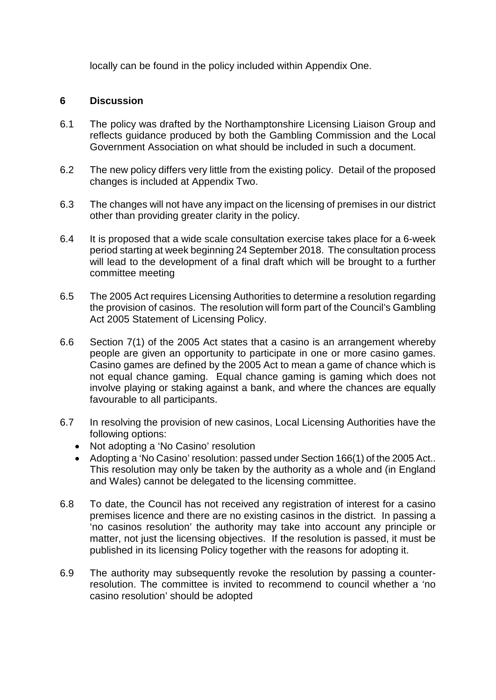locally can be found in the policy included within Appendix One.

## **6 Discussion**

- 6.1 The policy was drafted by the Northamptonshire Licensing Liaison Group and reflects guidance produced by both the Gambling Commission and the Local Government Association on what should be included in such a document.
- 6.2 The new policy differs very little from the existing policy. Detail of the proposed changes is included at Appendix Two.
- 6.3 The changes will not have any impact on the licensing of premises in our district other than providing greater clarity in the policy.
- 6.4 It is proposed that a wide scale consultation exercise takes place for a 6-week period starting at week beginning 24 September 2018. The consultation process will lead to the development of a final draft which will be brought to a further committee meeting
- 6.5 The 2005 Act requires Licensing Authorities to determine a resolution regarding the provision of casinos. The resolution will form part of the Council's Gambling Act 2005 Statement of Licensing Policy.
- 6.6 Section 7(1) of the 2005 Act states that a casino is an arrangement whereby people are given an opportunity to participate in one or more casino games. Casino games are defined by the 2005 Act to mean a game of chance which is not equal chance gaming. Equal chance gaming is gaming which does not involve playing or staking against a bank, and where the chances are equally favourable to all participants.
- 6.7 In resolving the provision of new casinos, Local Licensing Authorities have the following options:
	- Not adopting a 'No Casino' resolution
	- Adopting a 'No Casino' resolution: passed under Section 166(1) of the 2005 Act.. This resolution may only be taken by the authority as a whole and (in England and Wales) cannot be delegated to the licensing committee.
- 6.8 To date, the Council has not received any registration of interest for a casino premises licence and there are no existing casinos in the district. In passing a 'no casinos resolution' the authority may take into account any principle or matter, not just the licensing objectives. If the resolution is passed, it must be published in its licensing Policy together with the reasons for adopting it.
- 6.9 The authority may subsequently revoke the resolution by passing a counterresolution. The committee is invited to recommend to council whether a 'no casino resolution' should be adopted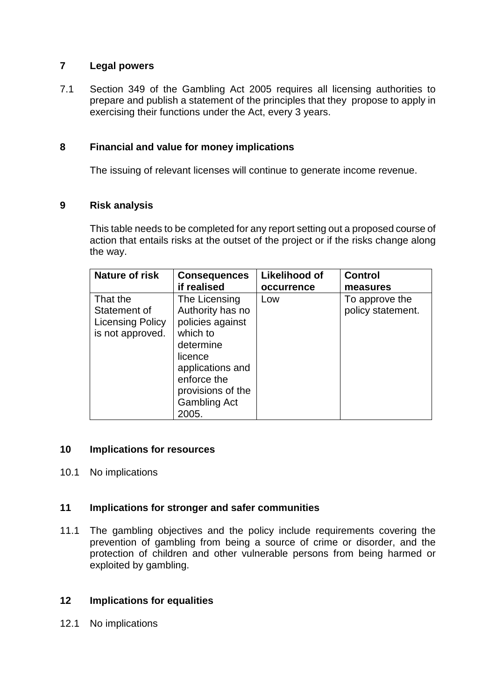## **7 Legal powers**

7.1 Section 349 of the Gambling Act 2005 requires all licensing authorities to prepare and publish a statement of the principles that they propose to apply in exercising their functions under the Act, every 3 years.

## **8 Financial and value for money implications**

The issuing of relevant licenses will continue to generate income revenue.

## **9 Risk analysis**

This table needs to be completed for any report setting out a proposed course of action that entails risks at the outset of the project or if the risks change along the way.

| Nature of risk   | <b>Consequences</b> | Likelihood of | <b>Control</b>    |
|------------------|---------------------|---------------|-------------------|
|                  | if realised         | occurrence    | measures          |
| That the         | The Licensing       | Low           | To approve the    |
| Statement of     | Authority has no    |               | policy statement. |
| Licensing Policy | policies against    |               |                   |
| is not approved. | which to            |               |                   |
|                  | determine           |               |                   |
|                  | licence             |               |                   |
|                  | applications and    |               |                   |
|                  | enforce the         |               |                   |
|                  | provisions of the   |               |                   |
|                  | <b>Gambling Act</b> |               |                   |
|                  | 2005.               |               |                   |

## **10 Implications for resources**

## 10.1 No implications

## **11 Implications for stronger and safer communities**

11.1 The gambling objectives and the policy include requirements covering the prevention of gambling from being a source of crime or disorder, and the protection of children and other vulnerable persons from being harmed or exploited by gambling.

## **12 Implications for equalities**

12.1 No implications